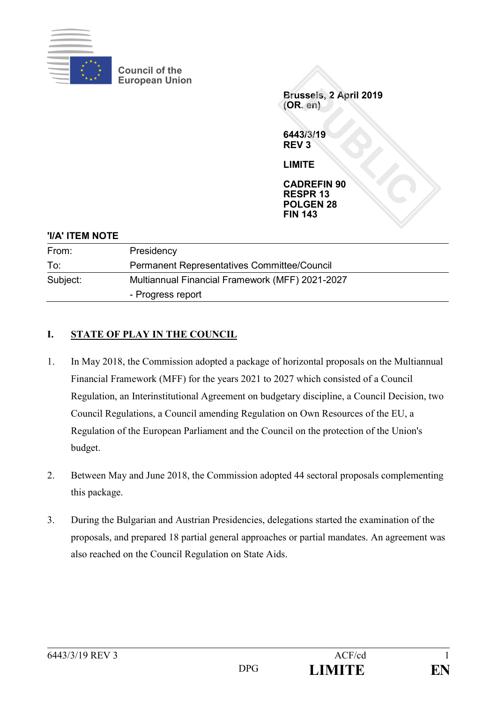

**Council of the European Union**

> **Brussels, 2 April 2019 (OR. en)**

**6443/3/19 REV 3**

**LIMITE**

**CADREFIN 90 RESPR 13 POLGEN 28 FIN 143**

## **'I/A' ITEM NOTE**

| From:    | Presidency                                         |
|----------|----------------------------------------------------|
| To:      | <b>Permanent Representatives Committee/Council</b> |
| Subject: | Multiannual Financial Framework (MFF) 2021-2027    |
|          | - Progress report                                  |

# **I. STATE OF PLAY IN THE COUNCIL**

- 1. In May 2018, the Commission adopted a package of horizontal proposals on the Multiannual Financial Framework (MFF) for the years 2021 to 2027 which consisted of a Council Regulation, an Interinstitutional Agreement on budgetary discipline, a Council Decision, two Council Regulations, a Council amending Regulation on Own Resources of the EU, a Regulation of the European Parliament and the Council on the protection of the Union's budget.
- 2. Between May and June 2018, the Commission adopted 44 sectoral proposals complementing this package.
- 3. During the Bulgarian and Austrian Presidencies, delegations started the examination of the proposals, and prepared 18 partial general approaches or partial mandates. An agreement was also reached on the Council Regulation on State Aids.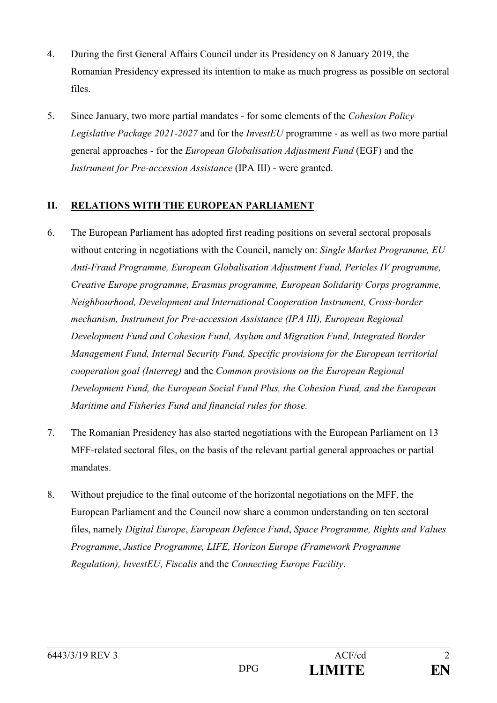- 4. During the first General Affairs Council under its Presidency on 8 January 2019, the Romanian Presidency expressed its intention to make as much progress as possible on sectoral files.
- 5. Since January, two more partial mandates for some elements of the *Cohesion Policy Legislative Package 2021-2027* and for the *InvestEU* programme - as well as two more partial general approaches - for the *European Globalisation Adjustment Fund* (EGF) and the *Instrument for Pre-accession Assistance* (IPA III) - were granted.

## **II. RELATIONS WITH THE EUROPEAN PARLIAMENT**

- 6. The European Parliament has adopted first reading positions on several sectoral proposals without entering in negotiations with the Council, namely on: *Single Market Programme, EU Anti-Fraud Programme, European Globalisation Adjustment Fund, Pericles IV programme, Creative Europe programme, Erasmus programme, European Solidarity Corps programme, Neighbourhood, Development and International Cooperation Instrument, Cross-border mechanism, Instrument for Pre-accession Assistance (IPA III), European Regional Development Fund and Cohesion Fund, Asylum and Migration Fund, Integrated Border Management Fund, Internal Security Fund, Specific provisions for the European territorial cooperation goal (Interreg)* and the *Common provisions on the European Regional Development Fund, the European Social Fund Plus, the Cohesion Fund, and the European Maritime and Fisheries Fund and financial rules for those.*
- 7. The Romanian Presidency has also started negotiations with the European Parliament on 13 MFF-related sectoral files, on the basis of the relevant partial general approaches or partial mandates.
- 8. Without prejudice to the final outcome of the horizontal negotiations on the MFF, the European Parliament and the Council now share a common understanding on ten sectoral files, namely *Digital Europe*, *European Defence Fund*, *Space Programme, Rights and Values Programme*, *Justice Programme, LIFE, Horizon Europe (Framework Programme Regulation), InvestEU, Fiscalis* and the *Connecting Europe Facility*.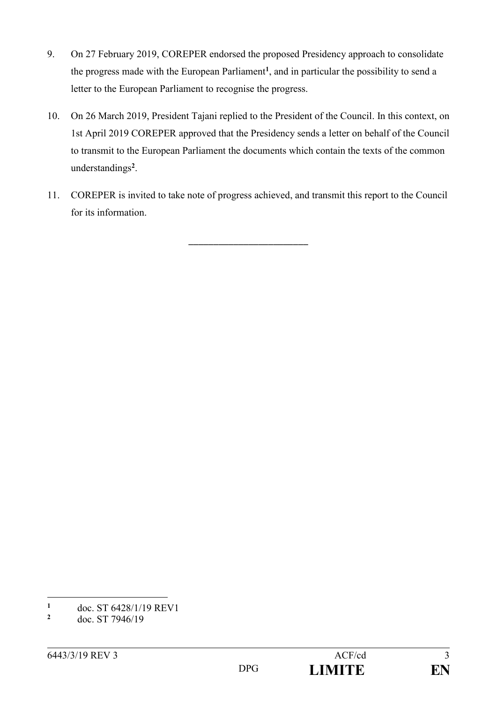- 9. On 27 February 2019, COREPER endorsed the proposed Presidency approach to consolidate the progress made with the European Parliament**<sup>1</sup>** , and in particular the possibility to send a letter to the European Parliament to recognise the progress.
- 10. On 26 March 2019, President Tajani replied to the President of the Council. In this context, on 1st April 2019 COREPER approved that the Presidency sends a letter on behalf of the Council to transmit to the European Parliament the documents which contain the texts of the common understandings**<sup>2</sup>** .
- 11. COREPER is invited to take note of progress achieved, and transmit this report to the Council for its information.

\_\_\_\_\_\_\_\_\_\_\_\_\_\_\_\_\_\_\_\_\_\_\_\_

<u>.</u>

 $\frac{1}{2}$  doc. ST 6428/1/19 REV1

**<sup>2</sup>** doc. ST 7946/19